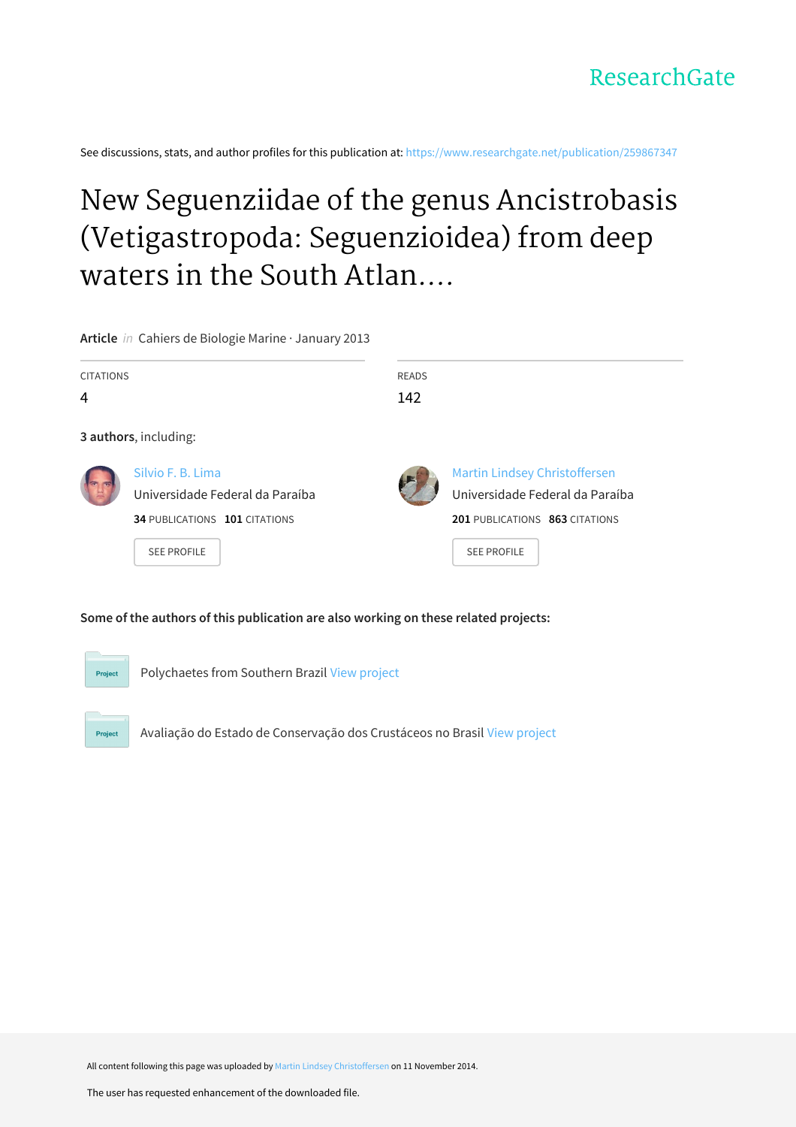

See discussions, stats, and author profiles for this publication at: [https://www.researchgate.net/publication/259867347](https://www.researchgate.net/publication/259867347_New_Seguenziidae_of_the_genus_Ancistrobasis_Vetigastropoda_Seguenzioidea_from_deep_waters_in_the_South_Atlantic_Ocean_Brazil?enrichId=rgreq-6c3ad610cfdcc431bef6531e8e072d38-XXX&enrichSource=Y292ZXJQYWdlOzI1OTg2NzM0NztBUzoxNjIzMzk1MDg3Mjc4MDhAMTQxNTcxNjE2MzI2Ng%3D%3D&el=1_x_2&_esc=publicationCoverPdf)

# New Seguenziidae of the genus Ancistrobasis (Vetigastropoda: Seguenzioidea) from deep waters in the South Atlan....

**Article** in Cahiers de Biologie Marine · January 2013

| <b>CITATIONS</b> |                                                                                                             | <b>READS</b> |                                                                                                                                 |  |
|------------------|-------------------------------------------------------------------------------------------------------------|--------------|---------------------------------------------------------------------------------------------------------------------------------|--|
| 4                |                                                                                                             | 142          |                                                                                                                                 |  |
|                  | 3 authors, including:                                                                                       |              |                                                                                                                                 |  |
|                  | Silvio F. B. Lima<br>Universidade Federal da Paraíba<br>34 PUBLICATIONS 101 CITATIONS<br><b>SEE PROFILE</b> |              | <b>Martin Lindsey Christoffersen</b><br>Universidade Federal da Paraíba<br>201 PUBLICATIONS 863 CITATIONS<br><b>SEE PROFILE</b> |  |

# **Some of the authors of this publication are also working on these related projects:**



Project

Polychaetes from Southern Brazil View [project](https://www.researchgate.net/project/Polychaetes-from-Southern-Brazil?enrichId=rgreq-6c3ad610cfdcc431bef6531e8e072d38-XXX&enrichSource=Y292ZXJQYWdlOzI1OTg2NzM0NztBUzoxNjIzMzk1MDg3Mjc4MDhAMTQxNTcxNjE2MzI2Ng%3D%3D&el=1_x_9&_esc=publicationCoverPdf)

Avaliação do Estado de Conservação dos Crustáceos no Brasil View [project](https://www.researchgate.net/project/Avaliacao-do-Estado-de-Conservacao-dos-Crustaceos-no-Brasil?enrichId=rgreq-6c3ad610cfdcc431bef6531e8e072d38-XXX&enrichSource=Y292ZXJQYWdlOzI1OTg2NzM0NztBUzoxNjIzMzk1MDg3Mjc4MDhAMTQxNTcxNjE2MzI2Ng%3D%3D&el=1_x_9&_esc=publicationCoverPdf)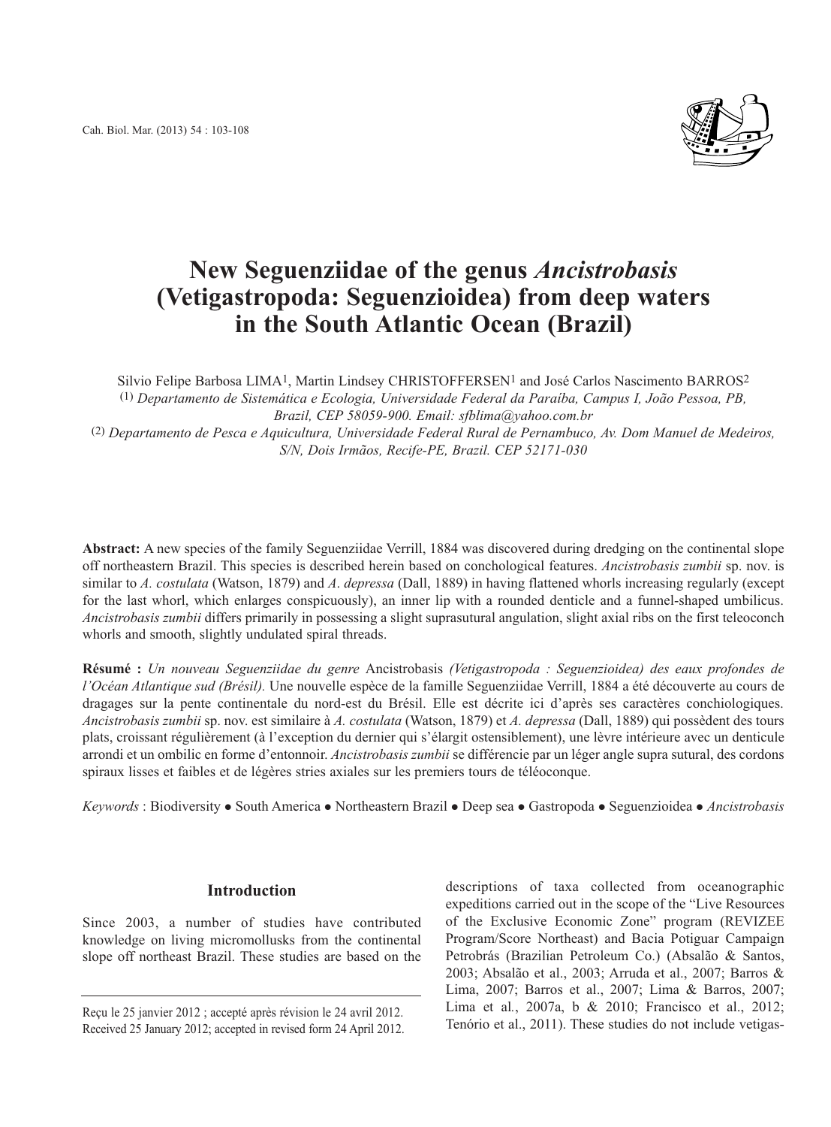

# **New Seguenziidae of the genus** *Ancistrobasis* **(Vetigastropoda: Seguenzioidea) from deep waters in the South Atlantic Ocean (Brazil)**

Silvio Felipe Barbosa LIMA<sup>1</sup>, Martin Lindsey CHRISTOFFERSEN<sup>1</sup> and José Carlos Nascimento BARROS<sup>2</sup> (1) *Departamento de Sistemática e Ecologia, Universidade Federal da Paraíba, Campus I, João Pessoa, PB, Brazil, CEP 58059-900. Email: sfblima@yahoo.com.br* (2) *Departamento de Pesca e Aquicultura, Universidade Federal Rural de Pernambuco, Av. Dom Manuel de Medeiros, S/N, Dois Irmãos, Recife-PE, Brazil. CEP 52171-030*

**Abstract:** A new species of the family Seguenziidae Verrill, 1884 was discovered during dredging on the continental slope off northeastern Brazil. This species is described herein based on conchological features. *Ancistrobasis zumbii* sp. nov. is similar to *A. costulata* (Watson, 1879) and *A*. *depressa* (Dall, 1889) in having flattened whorls increasing regularly (except for the last whorl, which enlarges conspicuously), an inner lip with a rounded denticle and a funnel-shaped umbilicus. *Ancistrobasis zumbii* differs primarily in possessing a slight suprasutural angulation, slight axial ribs on the first teleoconch whorls and smooth, slightly undulated spiral threads.

**Résumé :** *Un nouveau Seguenziidae du genre* Ancistrobasis *(Vetigastropoda : Seguenzioidea) des eaux profondes de l'Océan Atlantique sud (Brésil).* Une nouvelle espèce de la famille Seguenziidae Verrill, 1884 a été découverte au cours de dragages sur la pente continentale du nord-est du Brésil. Elle est décrite ici d'après ses caractères conchiologiques. *Ancistrobasis zumbii* sp. nov. est similaire à *A. costulata* (Watson, 1879) et *A. depressa* (Dall, 1889) qui possèdent des tours plats, croissant régulièrement (à l'exception du dernier qui s'élargit ostensiblement), une lèvre intérieure avec un denticule arrondi et un ombilic en forme d'entonnoir. *Ancistrobasis zumbii* se différencie par un léger angle supra sutural, des cordons spiraux lisses et faibles et de légères stries axiales sur les premiers tours de téléoconque.

*Keywords* : Biodiversity • South America • Northeastern Brazil • Deep sea • Gastropoda • Seguenzioidea • Ancistrobasis

# **Introduction**

Since 2003, a number of studies have contributed knowledge on living micromollusks from the continental slope off northeast Brazil. These studies are based on the

descriptions of taxa collected from oceanographic expeditions carried out in the scope of the "Live Resources of the Exclusive Economic Zone" program (REVIZEE Program/Score Northeast) and Bacia Potiguar Campaign Petrobrás (Brazilian Petroleum Co.) (Absalão & Santos, 2003; Absalão et al., 2003; Arruda et al., 2007; Barros & Lima, 2007; Barros et al., 2007; Lima & Barros, 2007; Lima et al*.*, 2007a, b & 2010; Francisco et al., 2012; Reçu le 25 janvier 2012 ; accepté après révision le 24 avril 2012.<br>Received 25 January 2012: accepté in revised form 24 April 2012. Tenório et al., 2011). These studies do not include vetigas-

Received 25 January 2012; accepted in revised form 24 April 2012.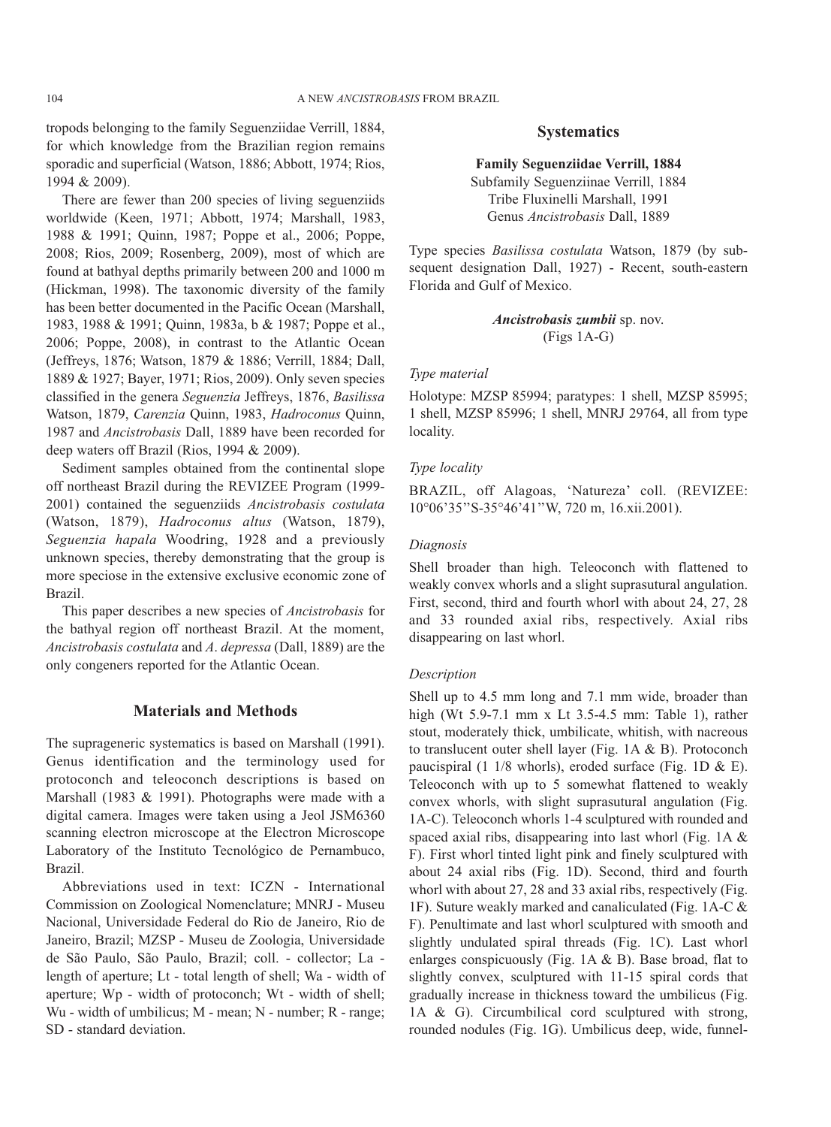tropods belonging to the family Seguenziidae Verrill, 1884, for which knowledge from the Brazilian region remains sporadic and superficial (Watson, 1886; Abbott, 1974; Rios, 1994 & 2009).

There are fewer than 200 species of living seguenziids worldwide (Keen, 1971; Abbott, 1974; Marshall, 1983, 1988 & 1991; Quinn, 1987; Poppe et al., 2006; Poppe, 2008; Rios, 2009; Rosenberg, 2009), most of which are found at bathyal depths primarily between 200 and 1000 m (Hickman, 1998). The taxonomic diversity of the family has been better documented in the Pacific Ocean (Marshall, 1983, 1988 & 1991; Quinn, 1983a, b & 1987; Poppe et al., 2006; Poppe, 2008), in contrast to the Atlantic Ocean (Jeffreys, 1876; Watson, 1879 & 1886; Verrill, 1884; Dall, 1889 & 1927; Bayer, 1971; Rios, 2009). Only seven species classified in the genera *Seguenzia* Jeffreys, 1876, *Basilissa* Watson, 1879, *Carenzia* Quinn, 1983, *Hadroconus* Quinn, 1987 and *Ancistrobasis* Dall, 1889 have been recorded for deep waters off Brazil (Rios, 1994 & 2009).

Sediment samples obtained from the continental slope off northeast Brazil during the REVIZEE Program (1999- 2001) contained the seguenziids *Ancistrobasis costulata* (Watson, 1879), *Hadroconus altus* (Watson, 1879), *Seguenzia hapala* Woodring, 1928 and a previously unknown species, thereby demonstrating that the group is more speciose in the extensive exclusive economic zone of Brazil.

This paper describes a new species of *Ancistrobasis* for the bathyal region off northeast Brazil. At the moment, *Ancistrobasis costulata* and *A*. *depressa* (Dall, 1889) are the only congeners reported for the Atlantic Ocean.

# **Materials and Methods**

The suprageneric systematics is based on Marshall (1991). Genus identification and the terminology used for protoconch and teleoconch descriptions is based on Marshall (1983 & 1991). Photographs were made with a digital camera. Images were taken using a Jeol JSM6360 scanning electron microscope at the Electron Microscope Laboratory of the Instituto Tecnológico de Pernambuco, Brazil.

Abbreviations used in text: ICZN - International Commission on Zoological Nomenclature; MNRJ - Museu Nacional, Universidade Federal do Rio de Janeiro, Rio de Janeiro, Brazil; MZSP - Museu de Zoologia, Universidade de São Paulo, São Paulo, Brazil; coll. - collector; La length of aperture; Lt - total length of shell; Wa - width of aperture; Wp - width of protoconch; Wt - width of shell; Wu - width of umbilicus; M - mean; N - number; R - range; SD - standard deviation.

# **Systematics**

#### **Family Seguenziidae Verrill, 1884**

Subfamily Seguenziinae Verrill, 1884 Tribe Fluxinelli Marshall, 1991 Genus *Ancistrobasis* Dall, 1889

Type species *Basilissa costulata* Watson, 1879 (by subsequent designation Dall, 1927) - Recent, south-eastern Florida and Gulf of Mexico.

> *Ancistrobasis zumbii* sp. nov. (Figs 1A-G)

#### *Type material*

Holotype: MZSP 85994; paratypes: 1 shell, MZSP 85995; 1 shell, MZSP 85996; 1 shell, MNRJ 29764, all from type locality.

#### *Type locality*

BRAZIL, off Alagoas, 'Natureza' coll. (REVIZEE: 10°06'35''S-35°46'41''W, 720 m, 16.xii.2001).

#### *Diagnosis*

Shell broader than high. Teleoconch with flattened to weakly convex whorls and a slight suprasutural angulation. First, second, third and fourth whorl with about 24, 27, 28 and 33 rounded axial ribs, respectively. Axial ribs disappearing on last whorl.

#### *Description*

Shell up to 4.5 mm long and 7.1 mm wide, broader than high (Wt 5.9-7.1 mm x Lt 3.5-4.5 mm: Table 1), rather stout, moderately thick, umbilicate, whitish, with nacreous to translucent outer shell layer (Fig. 1A & B). Protoconch paucispiral (1 1/8 whorls), eroded surface (Fig. 1D  $\&$  E). Teleoconch with up to 5 somewhat flattened to weakly convex whorls, with slight suprasutural angulation (Fig. 1A-C). Teleoconch whorls 1-4 sculptured with rounded and spaced axial ribs, disappearing into last whorl (Fig. 1A & F). First whorl tinted light pink and finely sculptured with about 24 axial ribs (Fig. 1D). Second, third and fourth whorl with about 27, 28 and 33 axial ribs, respectively (Fig. 1F). Suture weakly marked and canaliculated (Fig. 1A-C & F). Penultimate and last whorl sculptured with smooth and slightly undulated spiral threads (Fig. 1C). Last whorl enlarges conspicuously (Fig. 1A & B). Base broad, flat to slightly convex, sculptured with 11-15 spiral cords that gradually increase in thickness toward the umbilicus (Fig. 1A & G). Circumbilical cord sculptured with strong, rounded nodules (Fig. 1G). Umbilicus deep, wide, funnel-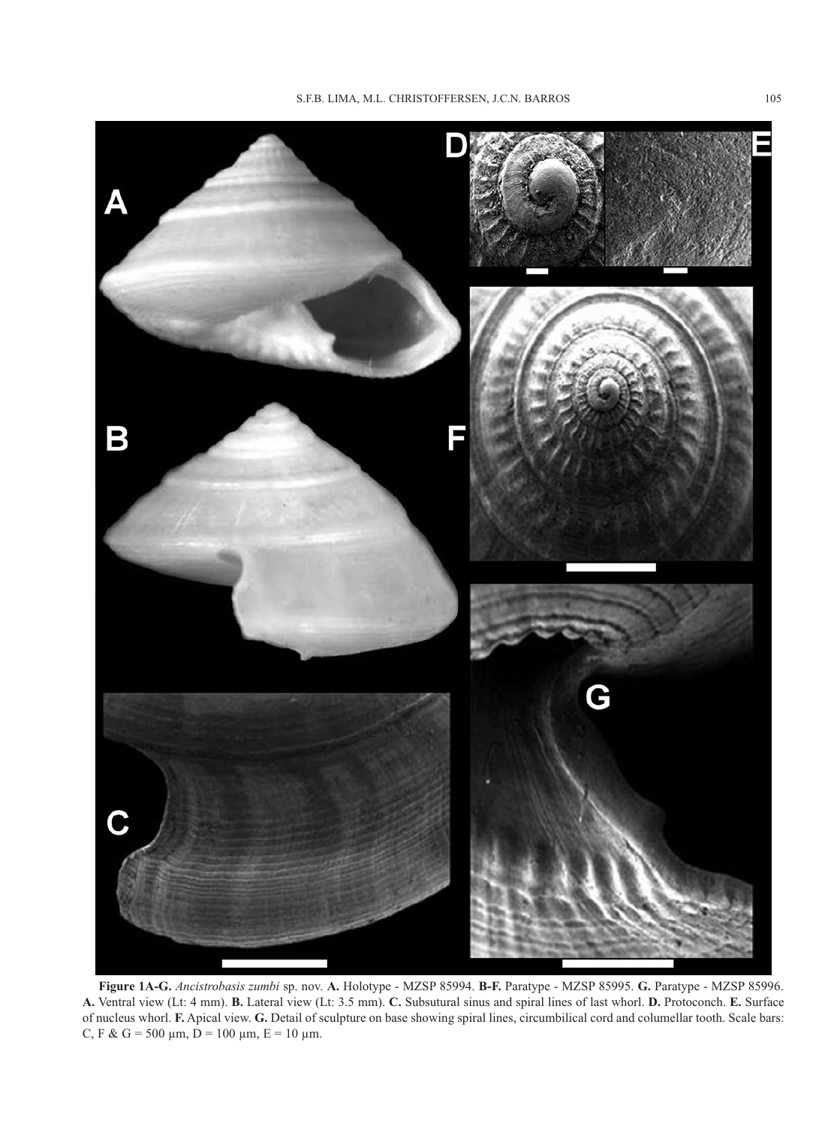

**Figure 1A-G.** *Ancistrobasis zumbi* sp. nov. **A.** Holotype - MZSP 85994. **B-F.** Paratype - MZSP 85995. **G.** Paratype - MZSP 85996. **A.** Ventral view (Lt: 4 mm). **B.** Lateral view (Lt: 3.5 mm). **C.** Subsutural sinus and spiral lines of last whorl. **D.** Protoconch. **E.** Surface of nucleus whorl. **F.** Apical view. **G.** Detail of sculpture on base showing spiral lines, circumbilical cord and columellar tooth. Scale bars: C, F & G = 500  $\mu$ m, D = 100  $\mu$ m, E = 10  $\mu$ m.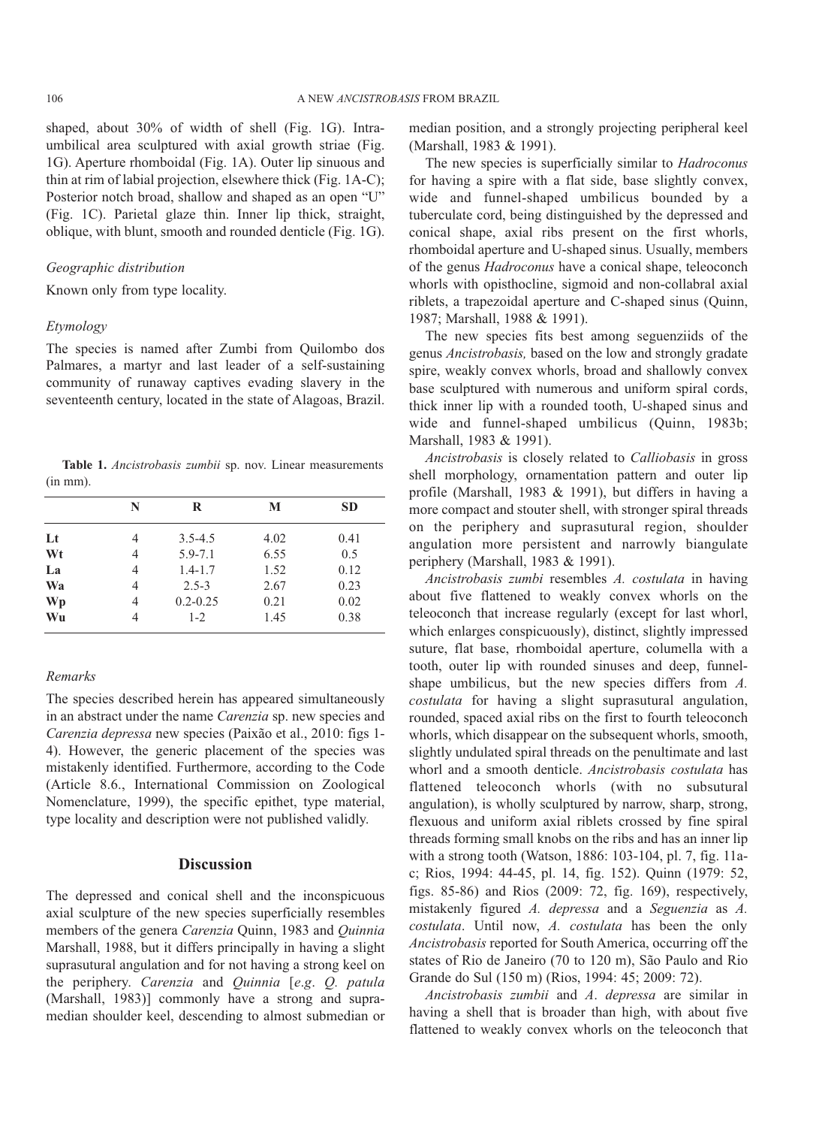shaped, about 30% of width of shell (Fig. 1G). Intraumbilical area sculptured with axial growth striae (Fig. 1G). Aperture rhomboidal (Fig. 1A). Outer lip sinuous and thin at rim of labial projection, elsewhere thick (Fig. 1A-C); Posterior notch broad, shallow and shaped as an open "U" (Fig. 1C). Parietal glaze thin. Inner lip thick, straight, oblique, with blunt, smooth and rounded denticle (Fig. 1G).

#### *Geographic distribution*

Known only from type locality.

#### *Etymology*

The species is named after Zumbi from Quilombo dos Palmares, a martyr and last leader of a self-sustaining community of runaway captives evading slavery in the seventeenth century, located in the state of Alagoas, Brazil.

**Table 1.** *Ancistrobasis zumbii* sp. nov. Linear measurements (in mm).

|    | N | R            | M    | <b>SD</b> |
|----|---|--------------|------|-----------|
| Lt | 4 | $3.5 - 4.5$  | 4.02 | 0.41      |
| Wt | 4 | $5.9 - 7.1$  | 6.55 | 0.5       |
| La | 4 | $1.4 - 1.7$  | 1.52 | 0.12      |
| Wa | 4 | $2.5 - 3$    | 2.67 | 0.23      |
| Wp | 4 | $0.2 - 0.25$ | 0.21 | 0.02      |
| Wu | 4 | $1 - 2$      | 1.45 | 0.38      |

#### *Remarks*

The species described herein has appeared simultaneously in an abstract under the name *Carenzia* sp. new species and *Carenzia depressa* new species (Paixão et al., 2010: figs 1- 4). However, the generic placement of the species was mistakenly identified. Furthermore, according to the Code (Article 8.6., International Commission on Zoological Nomenclature, 1999), the specific epithet, type material, type locality and description were not published validly.

## **Discussion**

The depressed and conical shell and the inconspicuous axial sculpture of the new species superficially resembles members of the genera *Carenzia* Quinn, 1983 and *Quinnia* Marshall, 1988, but it differs principally in having a slight suprasutural angulation and for not having a strong keel on the periphery. *Carenzia* and *Quinnia* [*e*.*g*. *Q. patula* (Marshall, 1983)] commonly have a strong and supramedian shoulder keel, descending to almost submedian or median position, and a strongly projecting peripheral keel (Marshall, 1983 & 1991).

The new species is superficially similar to *Hadroconus* for having a spire with a flat side, base slightly convex, wide and funnel-shaped umbilicus bounded by a tuberculate cord, being distinguished by the depressed and conical shape, axial ribs present on the first whorls, rhomboidal aperture and U-shaped sinus. Usually, members of the genus *Hadroconus* have a conical shape, teleoconch whorls with opisthocline, sigmoid and non-collabral axial riblets, a trapezoidal aperture and C-shaped sinus (Quinn, 1987; Marshall, 1988 & 1991).

The new species fits best among seguenziids of the genus *Ancistrobasis,* based on the low and strongly gradate spire, weakly convex whorls, broad and shallowly convex base sculptured with numerous and uniform spiral cords, thick inner lip with a rounded tooth, U-shaped sinus and wide and funnel-shaped umbilicus (Quinn, 1983b; Marshall, 1983 & 1991).

*Ancistrobasis* is closely related to *Calliobasis* in gross shell morphology, ornamentation pattern and outer lip profile (Marshall, 1983 & 1991), but differs in having a more compact and stouter shell, with stronger spiral threads on the periphery and suprasutural region, shoulder angulation more persistent and narrowly biangulate periphery (Marshall, 1983 & 1991).

*Ancistrobasis zumbi* resembles *A. costulata* in having about five flattened to weakly convex whorls on the teleoconch that increase regularly (except for last whorl, which enlarges conspicuously), distinct, slightly impressed suture, flat base, rhomboidal aperture, columella with a tooth, outer lip with rounded sinuses and deep, funnelshape umbilicus, but the new species differs from *A. costulata* for having a slight suprasutural angulation, rounded, spaced axial ribs on the first to fourth teleoconch whorls, which disappear on the subsequent whorls, smooth, slightly undulated spiral threads on the penultimate and last whorl and a smooth denticle. *Ancistrobasis costulata* has flattened teleoconch whorls (with no subsutural angulation), is wholly sculptured by narrow, sharp, strong, flexuous and uniform axial riblets crossed by fine spiral threads forming small knobs on the ribs and has an inner lip with a strong tooth (Watson, 1886: 103-104, pl. 7, fig. 11ac; Rios, 1994: 44-45, pl. 14, fig. 152). Quinn (1979: 52, figs. 85-86) and Rios (2009: 72, fig. 169), respectively, mistakenly figured *A. depressa* and a *Seguenzia* as *A. costulata*. Until now, *A. costulata* has been the only *Ancistrobasis* reported for South America, occurring off the states of Rio de Janeiro (70 to 120 m), São Paulo and Rio Grande do Sul (150 m) (Rios, 1994: 45; 2009: 72).

*Ancistrobasis zumbii* and *A*. *depressa* are similar in having a shell that is broader than high, with about five flattened to weakly convex whorls on the teleoconch that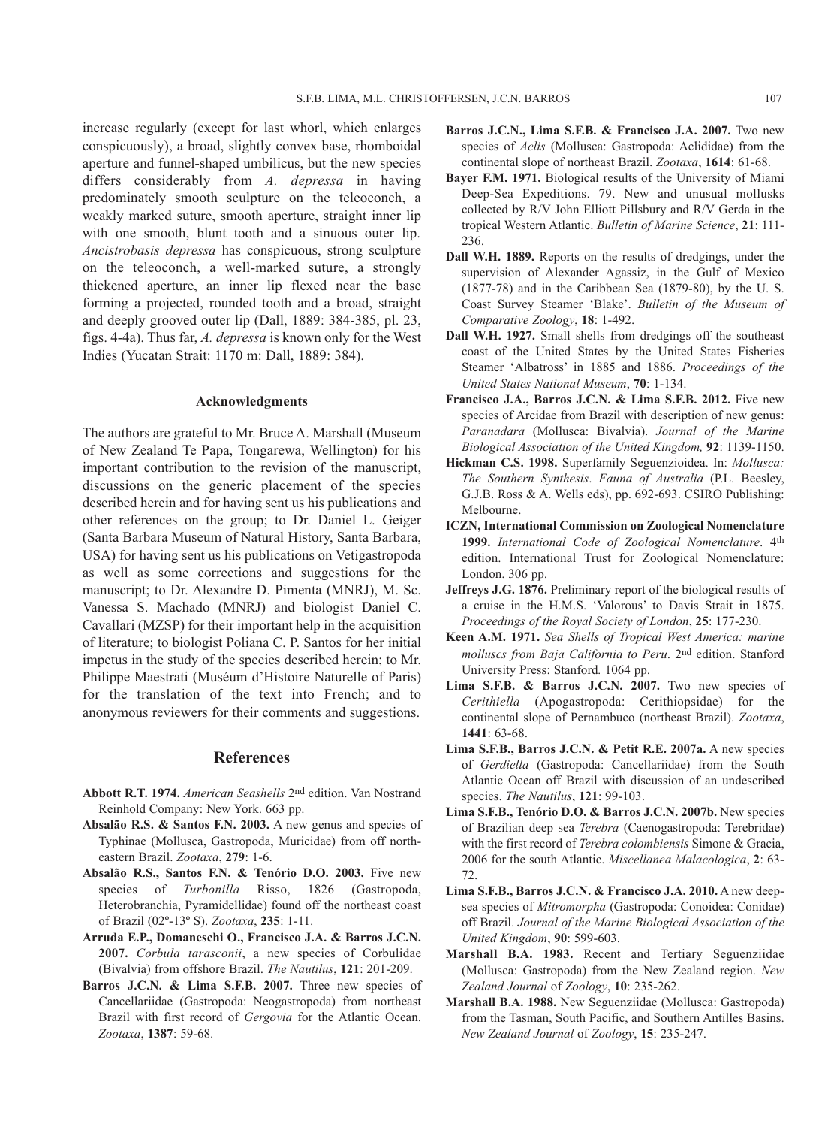increase regularly (except for last whorl, which enlarges conspicuously), a broad, slightly convex base, rhomboidal aperture and funnel-shaped umbilicus, but the new species differs considerably from *A. depressa* in having predominately smooth sculpture on the teleoconch, a weakly marked suture, smooth aperture, straight inner lip with one smooth, blunt tooth and a sinuous outer lip. *Ancistrobasis depressa* has conspicuous, strong sculpture on the teleoconch, a well-marked suture, a strongly thickened aperture, an inner lip flexed near the base forming a projected, rounded tooth and a broad, straight and deeply grooved outer lip (Dall, 1889: 384-385, pl. 23, figs. 4-4a). Thus far, *A. depressa* is known only for the West Indies (Yucatan Strait: 1170 m: Dall, 1889: 384).

#### **Acknowledgments**

The authors are grateful to Mr. Bruce A. Marshall (Museum of New Zealand Te Papa, Tongarewa, Wellington) for his important contribution to the revision of the manuscript, discussions on the generic placement of the species described herein and for having sent us his publications and other references on the group; to Dr. Daniel L. Geiger (Santa Barbara Museum of Natural History, Santa Barbara, USA) for having sent us his publications on Vetigastropoda as well as some corrections and suggestions for the manuscript; to Dr. Alexandre D. Pimenta (MNRJ), M. Sc. Vanessa S. Machado (MNRJ) and biologist Daniel C. Cavallari (MZSP) for their important help in the acquisition of literature; to biologist Poliana C. P. Santos for her initial impetus in the study of the species described herein; to Mr. Philippe Maestrati (Muséum d'Histoire Naturelle of Paris) for the translation of the text into French; and to anonymous reviewers for their comments and suggestions.

## **References**

- **Abbott R.T. 1974.** *American Seashells* 2nd edition. Van Nostrand Reinhold Company: New York. 663 pp.
- **Absalão R.S. & Santos F.N. 2003.** A new genus and species of Typhinae (Mollusca, Gastropoda, Muricidae) from off northeastern Brazil. *Zootaxa*, **279**: 1-6.
- **Absalão R.S., Santos F.N. & Tenório D.O. 2003.** Five new species of *Turbonilla* Risso, 1826 (Gastropoda, Heterobranchia, Pyramidellidae) found off the northeast coast of Brazil (02º-13º S). *Zootaxa*, **235**: 1-11.
- **Arruda E.P., Domaneschi O., Francisco J.A. & Barros J.C.N. 2007.** *Corbula tarasconii*, a new species of Corbulidae (Bivalvia) from offshore Brazil. *The Nautilus*, **121**: 201-209.
- Barros J.C.N. & Lima S.F.B. 2007. Three new species of Cancellariidae (Gastropoda: Neogastropoda) from northeast Brazil with first record of *Gergovia* for the Atlantic Ocean. *Zootaxa*, **1387**: 59-68.
- **Barros J.C.N., Lima S.F.B. & Francisco J.A. 2007.** Two new species of *Aclis* (Mollusca: Gastropoda: Aclididae) from the continental slope of northeast Brazil. *Zootaxa*, **1614**: 61-68.
- **Bayer F.M. 1971.** Biological results of the University of Miami Deep-Sea Expeditions. 79. New and unusual mollusks collected by R/V John Elliott Pillsbury and R/V Gerda in the tropical Western Atlantic. *Bulletin of Marine Science*, **21**: 111- 236.
- **Dall W.H. 1889.** Reports on the results of dredgings, under the supervision of Alexander Agassiz, in the Gulf of Mexico (1877-78) and in the Caribbean Sea (1879-80), by the U. S. Coast Survey Steamer 'Blake'. *Bulletin of the Museum of Comparative Zoology*, **18**: 1-492.
- **Dall W.H. 1927.** Small shells from dredgings off the southeast coast of the United States by the United States Fisheries Steamer 'Albatross' in 1885 and 1886. *Proceedings of the United States National Museum*, **70**: 1-134.
- **Francisco J.A., Barros J.C.N. & Lima S.F.B. 2012.** Five new species of Arcidae from Brazil with description of new genus: *Paranadara* (Mollusca: Bivalvia). *Journal of the Marine Biological Association of the United Kingdom,* **92**: 1139-1150.
- **Hickman C.S. 1998.** Superfamily Seguenzioidea. In: *Mollusca: The Southern Synthesis*. *Fauna of Australia* (P.L. Beesley, G.J.B. Ross & A. Wells eds), pp. 692-693. CSIRO Publishing: Melbourne.
- **ICZN, International Commission on Zoological Nomenclature 1999.** *International Code of Zoological Nomenclature*. 4th edition. International Trust for Zoological Nomenclature: London. 306 pp.
- **Jeffreys J.G. 1876.** Preliminary report of the biological results of a cruise in the H.M.S. 'Valorous' to Davis Strait in 1875. *Proceedings of the Royal Society of London*, **25**: 177-230.
- **Keen A.M. 1971.** *Sea Shells of Tropical West America: marine molluscs from Baja California to Peru*. 2nd edition. Stanford University Press: Stanford*.* 1064 pp.
- Lima S.F.B. & Barros J.C.N. 2007. Two new species of *Cerithiella* (Apogastropoda: Cerithiopsidae) for the continental slope of Pernambuco (northeast Brazil). *Zootaxa*, **1441**: 63-68.
- **Lima S.F.B., Barros J.C.N. & Petit R.E. 2007a.** A new species of *Gerdiella* (Gastropoda: Cancellariidae) from the South Atlantic Ocean off Brazil with discussion of an undescribed species. *The Nautilus*, **121**: 99-103.
- **Lima S.F.B., Tenório D.O. & Barros J.C.N. 2007b.** New species of Brazilian deep sea *Terebra* (Caenogastropoda: Terebridae) with the first record of *Terebra colombiensis* Simone & Gracia, 2006 for the south Atlantic. *Miscellanea Malacologica*, **2**: 63- 72.
- **Lima S.F.B., Barros J.C.N. & Francisco J.A. 2010.** A new deepsea species of *Mitromorpha* (Gastropoda: Conoidea: Conidae) off Brazil. *Journal of the Marine Biological Association of the United Kingdom*, **90**: 599-603.
- **Marshall B.A. 1983.** Recent and Tertiary Seguenziidae (Mollusca: Gastropoda) from the New Zealand region. *New Zealand Journal* of *Zoology*, **10**: 235-262.
- **Marshall B.A. 1988.** New Seguenziidae (Mollusca: Gastropoda) from the Tasman, South Pacific, and Southern Antilles Basins. *New Zealand Journal* of *Zoology*, **15**: 235-247.